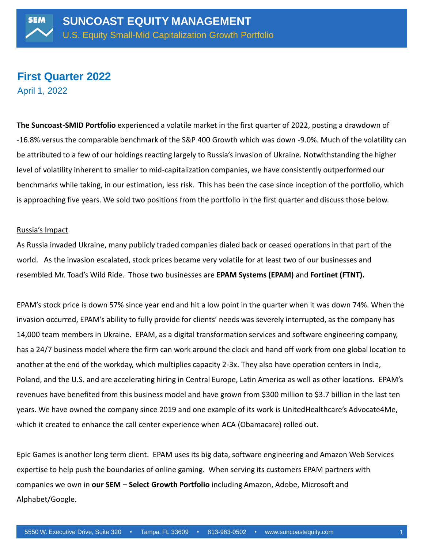## **First Quarter 2022** April 1, 2022

**The Suncoast-SMID Portfolio** experienced a volatile market in the first quarter of 2022, posting a drawdown of -16.8% versus the comparable benchmark of the S&P 400 Growth which was down -9.0%. Much of the volatility can be attributed to a few of our holdings reacting largely to Russia's invasion of Ukraine. Notwithstanding the higher level of volatility inherent to smaller to mid-capitalization companies, we have consistently outperformed our benchmarks while taking, in our estimation, less risk. This has been the case since inception of the portfolio, which is approaching five years. We sold two positions from the portfolio in the first quarter and discuss those below.

#### Russia's Impact

As Russia invaded Ukraine, many publicly traded companies dialed back or ceased operations in that part of the world. As the invasion escalated, stock prices became very volatile for at least two of our businesses and resembled Mr. Toad's Wild Ride. Those two businesses are **EPAM Systems (EPAM)** and **Fortinet (FTNT).**

EPAM's stock price is down 57% since year end and hit a low point in the quarter when it was down 74%. When the invasion occurred, EPAM's ability to fully provide for clients' needs was severely interrupted, as the company has 14,000 team members in Ukraine. EPAM, as a digital transformation services and software engineering company, has a 24/7 business model where the firm can work around the clock and hand off work from one global location to another at the end of the workday, which multiplies capacity 2-3x. They also have operation centers in India, Poland, and the U.S. and are accelerating hiring in Central Europe, Latin America as well as other locations. EPAM's revenues have benefited from this business model and have grown from \$300 million to \$3.7 billion in the last ten years. We have owned the company since 2019 and one example of its work is UnitedHealthcare's Advocate4Me, which it created to enhance the call center experience when ACA (Obamacare) rolled out.

Epic Games is another long term client. EPAM uses its big data, software engineering and Amazon Web Services expertise to help push the boundaries of online gaming. When serving its customers EPAM partners with companies we own in **our SEM – Select Growth Portfolio** including Amazon, Adobe, Microsoft and Alphabet/Google.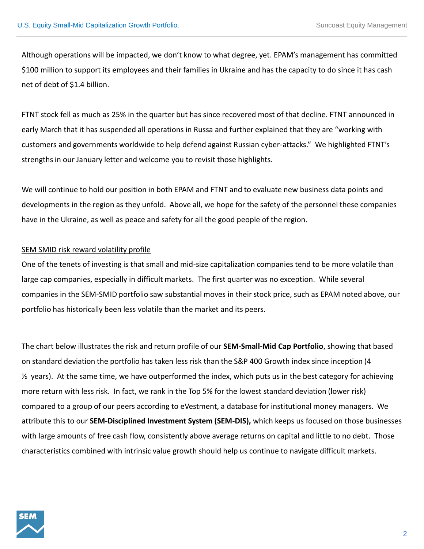Although operations will be impacted, we don't know to what degree, yet. EPAM's management has committed \$100 million to support its employees and their families in Ukraine and has the capacity to do since it has cash net of debt of \$1.4 billion.

FTNT stock fell as much as 25% in the quarter but has since recovered most of that decline. FTNT announced in early March that it has suspended all operations in Russa and further explained that they are "working with customers and governments worldwide to help defend against Russian cyber-attacks." We highlighted FTNT's strengths in our January letter and welcome you to revisit those highlights.

We will continue to hold our position in both EPAM and FTNT and to evaluate new business data points and developments in the region as they unfold. Above all, we hope for the safety of the personnel these companies have in the Ukraine, as well as peace and safety for all the good people of the region.

## SEM SMID risk reward volatility profile

One of the tenets of investing is that small and mid-size capitalization companies tend to be more volatile than large cap companies, especially in difficult markets. The first quarter was no exception. While several companies in the SEM-SMID portfolio saw substantial moves in their stock price, such as EPAM noted above, our portfolio has historically been less volatile than the market and its peers.

The chart below illustrates the risk and return profile of our **SEM-Small-Mid Cap Portfolio**, showing that based on standard deviation the portfolio has taken less risk than the S&P 400 Growth index since inception (4  $\frac{1}{2}$  years). At the same time, we have outperformed the index, which puts us in the best category for achieving more return with less risk. In fact, we rank in the Top 5% for the lowest standard deviation (lower risk) compared to a group of our peers according to eVestment, a database for institutional money managers. We attribute this to our **SEM-Disciplined Investment System (SEM-DIS),** which keeps us focused on those businesses with large amounts of free cash flow, consistently above average returns on capital and little to no debt. Those characteristics combined with intrinsic value growth should help us continue to navigate difficult markets.

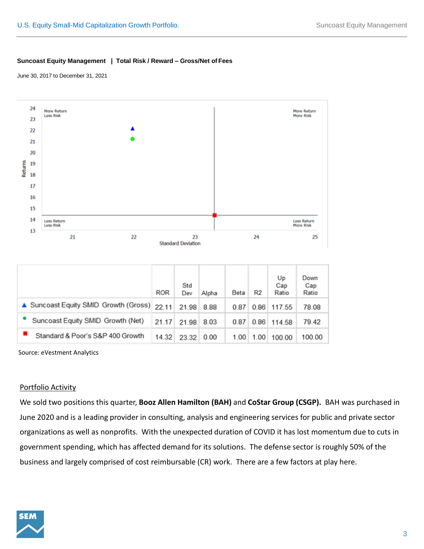#### **Suncoast Equity Management | Total Risk / Reward – Gross/Net of Fees**

June 30, 2017 to December 31, 2021



|                                             | <b>ROR</b> | Std<br>Dev | Alpha | Beta | R <sub>2</sub> | Up<br>Cap<br>Ratio | Down<br>Cap<br>Ratio |
|---------------------------------------------|------------|------------|-------|------|----------------|--------------------|----------------------|
| ▲ Suncoast Equity SMID Growth (Gross) 22.11 |            | 21.98      | 8.88  | 0.87 | 0.86           | 117.55             | 78.08                |
| Suncoast Equity SMID Growth (Net)           | 21.17      | 21.98      | 8.03  | 0.87 | 0.86           | 114.58             | 79.42                |
| Standard & Poor's S&P 400 Growth            | 14.32      | 23.32      | 0.00  | 1.00 | 1.00           | 100.00             | 100.00               |

Source: eVestment Analytics

#### Portfolio Activity

We sold two positions this quarter, **Booz Allen Hamilton (BAH)** and **CoStar Group (CSGP).** BAH was purchased in June 2020 and is a leading provider in consulting, analysis and engineering services for public and private sector organizations as well as nonprofits. With the unexpected duration of COVID it has lost momentum due to cuts in government spending, which has affected demand for its solutions. The defense sector is roughly 50% of the business and largely comprised of cost reimbursable (CR) work. There are a few factors at play here.

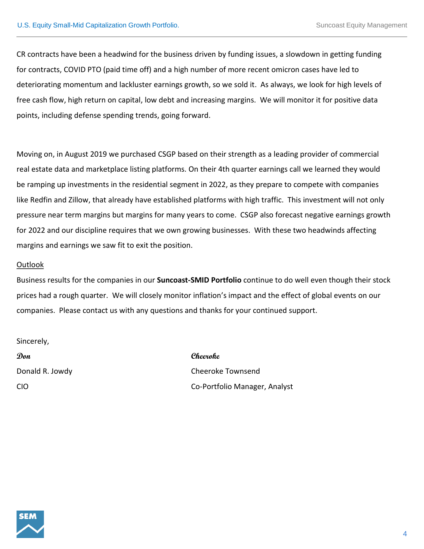CR contracts have been a headwind for the business driven by funding issues, a slowdown in getting funding for contracts, COVID PTO (paid time off) and a high number of more recent omicron cases have led to deteriorating momentum and lackluster earnings growth, so we sold it. As always, we look for high levels of free cash flow, high return on capital, low debt and increasing margins. We will monitor it for positive data points, including defense spending trends, going forward.

Moving on, in August 2019 we purchased CSGP based on their strength as a leading provider of commercial real estate data and marketplace listing platforms. On their 4th quarter earnings call we learned they would be ramping up investments in the residential segment in 2022, as they prepare to compete with companies like Redfin and Zillow, that already have established platforms with high traffic. This investment will not only pressure near term margins but margins for many years to come. CSGP also forecast negative earnings growth for 2022 and our discipline requires that we own growing businesses. With these two headwinds affecting margins and earnings we saw fit to exit the position.

### Outlook

Business results for the companies in our **Suncoast-SMID Portfolio** continue to do well even though their stock prices had a rough quarter. We will closely monitor inflation's impact and the effect of global events on our companies. Please contact us with any questions and thanks for your continued support.

Sincerely,

**Don Cheeroke**

Donald R. Jowdy **Cheeroke Townsend** CIO Co-Portfolio Manager, Analyst

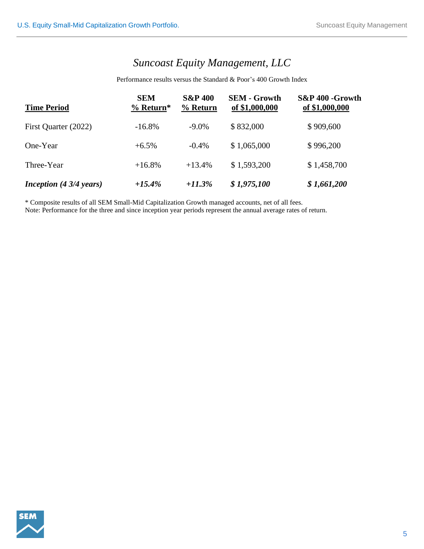# *Suncoast Equity Management, LLC*

Performance results versus the Standard & Poor's 400 Growth Index

| <b>Time Period</b>               | <b>SEM</b><br>$%$ Return* | <b>S&amp;P 400</b><br>% Return | <b>SEM - Growth</b><br>of \$1,000,000 | S&P 400 -Growth<br>of \$1,000,000 |  |
|----------------------------------|---------------------------|--------------------------------|---------------------------------------|-----------------------------------|--|
| First Quarter (2022)             | $-16.8\%$                 | $-9.0\%$                       | \$832,000                             | \$909,600                         |  |
| One-Year                         | $+6.5\%$                  | $-0.4%$                        | \$1,065,000                           | \$996,200                         |  |
| Three-Year                       | $+16.8%$                  | $+13.4%$                       | \$1,593,200                           | \$1,458,700                       |  |
| Inception $(4\frac{3}{4}$ years) | $+15.4\%$                 | $+11.3%$                       | \$1,975,100                           | \$1,661,200                       |  |

\* Composite results of all SEM Small-Mid Capitalization Growth managed accounts, net of all fees.

Note: Performance for the three and since inception year periods represen<sup>t</sup> the annual average rates of return.